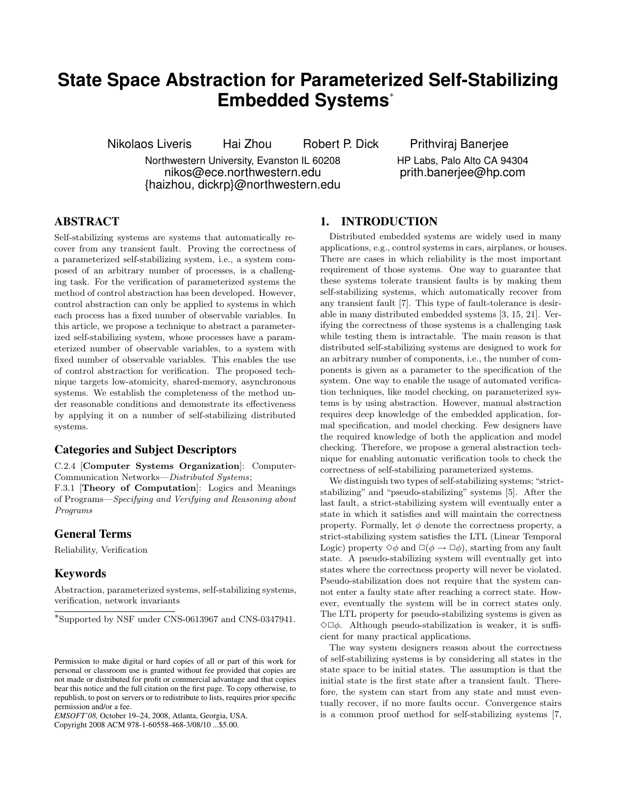# **State Space Abstraction for Parameterized Self-Stabilizing Embedded Systems**<sup>∗</sup>

Nikolaos Liveris Hai Zhou Robert P. Dick Prithviraj Banerjee

Northwestern University, Evanston IL 60208 nikos@ece.northwestern.edu {haizhou, dickrp}@northwestern.edu

HP Labs, Palo Alto CA 94304 prith.banerjee@hp.com

## **ABSTRACT**

Self-stabilizing systems are systems that automatically recover from any transient fault. Proving the correctness of a parameterized self-stabilizing system, i.e., a system composed of an arbitrary number of processes, is a challenging task. For the verification of parameterized systems the method of control abstraction has been developed. However, control abstraction can only be applied to systems in which each process has a fixed number of observable variables. In this article, we propose a technique to abstract a parameterized self-stabilizing system, whose processes have a parameterized number of observable variables, to a system with fixed number of observable variables. This enables the use of control abstraction for verification. The proposed technique targets low-atomicity, shared-memory, asynchronous systems. We establish the completeness of the method under reasonable conditions and demonstrate its effectiveness by applying it on a number of self-stabilizing distributed systems.

# **Categories and Subject Descriptors**

C.2.4 [Computer Systems Organization]: Computer-Communication Networks—*Distributed Systems*;

F.3.1 [Theory of Computation]: Logics and Meanings of Programs—*Specifying and Verifying and Reasoning about Programs*

#### **General Terms**

Reliability, Verification

## **Keywords**

Abstraction, parameterized systems, self-stabilizing systems, verification, network invariants

Copyright 2008 ACM 978-1-60558-468-3/08/10 ...\$5.00.

## **1. INTRODUCTION**

Distributed embedded systems are widely used in many applications, e.g., control systems in cars, airplanes, or houses. There are cases in which reliability is the most important requirement of those systems. One way to guarantee that these systems tolerate transient faults is by making them self-stabilizing systems, which automatically recover from any transient fault [7]. This type of fault-tolerance is desirable in many distributed embedded systems [3, 15, 21]. Verifying the correctness of those systems is a challenging task while testing them is intractable. The main reason is that distributed self-stabilizing systems are designed to work for an arbitrary number of components, i.e., the number of components is given as a parameter to the specification of the system. One way to enable the usage of automated verification techniques, like model checking, on parameterized systems is by using abstraction. However, manual abstraction requires deep knowledge of the embedded application, formal specification, and model checking. Few designers have the required knowledge of both the application and model checking. Therefore, we propose a general abstraction technique for enabling automatic verification tools to check the correctness of self-stabilizing parameterized systems.

We distinguish two types of self-stabilizing systems; "strictstabilizing" and "pseudo-stabilizing" systems [5]. After the last fault, a strict-stabilizing system will eventually enter a state in which it satisfies and will maintain the correctness property. Formally, let  $\phi$  denote the correctness property, a strict-stabilizing system satisfies the LTL (Linear Temporal Logic) property  $\diamond \phi$  and  $\square(\phi \rightarrow \square \phi)$ , starting from any fault state. A pseudo-stabilizing system will eventually get into states where the correctness property will never be violated. Pseudo-stabilization does not require that the system cannot enter a faulty state after reaching a correct state. However, eventually the system will be in correct states only. The LTL property for pseudo-stabilizing systems is given as  $\Diamond \Box \phi$ . Although pseudo-stabilization is weaker, it is sufficient for many practical applications.

The way system designers reason about the correctness of self-stabilizing systems is by considering all states in the state space to be initial states. The assumption is that the initial state is the first state after a transient fault. Therefore, the system can start from any state and must eventually recover, if no more faults occur. Convergence stairs is a common proof method for self-stabilizing systems [7,

<sup>∗</sup> Supported by NSF under CNS-0613967 and CNS-0347941.

Permission to make digital or hard copies of all or part of this work for personal or classroom use is granted without fee provided that copies are not made or distributed for profit or commercial advantage and that copies bear this notice and the full citation on the first page. To copy otherwise, to republish, to post on servers or to redistribute to lists, requires prior specific permission and/or a fee.

*EMSOFT'08,* October 19–24, 2008, Atlanta, Georgia, USA.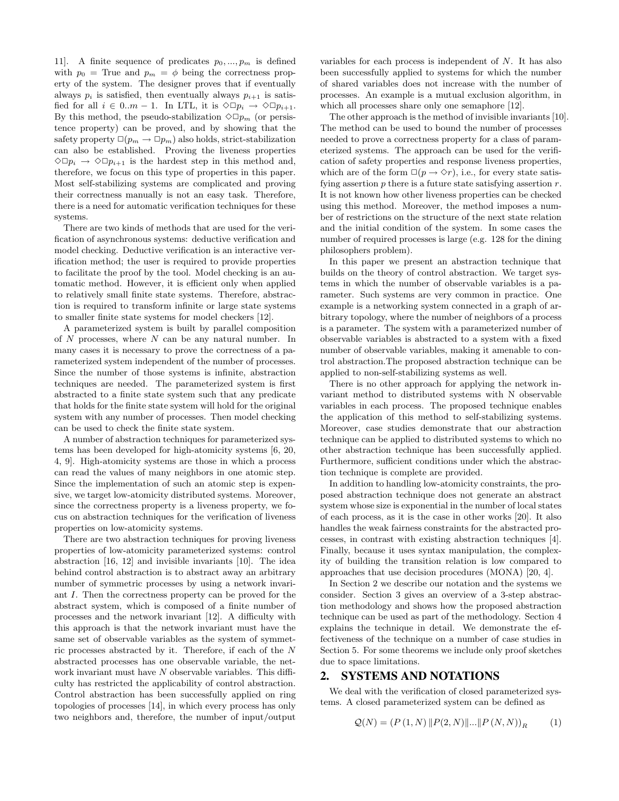11]. A finite sequence of predicates  $p_0, ..., p_m$  is defined with  $p_0$  = True and  $p_m = \phi$  being the correctness property of the system. The designer proves that if eventually always  $p_i$  is satisfied, then eventually always  $p_{i+1}$  is satisfied for all  $i \in 0..m-1$ . In LTL, it is  $\Diamond \Box p_i \to \Diamond \Box p_{i+1}$ . By this method, the pseudo-stabilization  $\Diamond \Box p_m$  (or persistence property) can be proved, and by showing that the safety property  $\square(p_m \rightarrow \square p_m)$  also holds, strict-stabilization can also be established. Proving the liveness properties  $\Diamond \Box p_i \rightarrow \Diamond \Box p_{i+1}$  is the hardest step in this method and, therefore, we focus on this type of properties in this paper. Most self-stabilizing systems are complicated and proving their correctness manually is not an easy task. Therefore, there is a need for automatic verification techniques for these systems.

There are two kinds of methods that are used for the verification of asynchronous systems: deductive verification and model checking. Deductive verification is an interactive verification method; the user is required to provide properties to facilitate the proof by the tool. Model checking is an automatic method. However, it is efficient only when applied to relatively small finite state systems. Therefore, abstraction is required to transform infinite or large state systems to smaller finite state systems for model checkers [12].

A parameterized system is built by parallel composition of  $N$  processes, where  $N$  can be any natural number. In many cases it is necessary to prove the correctness of a parameterized system independent of the number of processes. Since the number of those systems is infinite, abstraction techniques are needed. The parameterized system is first abstracted to a finite state system such that any predicate that holds for the finite state system will hold for the original system with any number of processes. Then model checking can be used to check the finite state system.

A number of abstraction techniques for parameterized systems has been developed for high-atomicity systems [6, 20, 4, 9]. High-atomicity systems are those in which a process can read the values of many neighbors in one atomic step. Since the implementation of such an atomic step is expensive, we target low-atomicity distributed systems. Moreover, since the correctness property is a liveness property, we focus on abstraction techniques for the verification of liveness properties on low-atomicity systems.

There are two abstraction techniques for proving liveness properties of low-atomicity parameterized systems: control abstraction [16, 12] and invisible invariants [10]. The idea behind control abstraction is to abstract away an arbitrary number of symmetric processes by using a network invariant I. Then the correctness property can be proved for the abstract system, which is composed of a finite number of processes and the network invariant [12]. A difficulty with this approach is that the network invariant must have the same set of observable variables as the system of symmetric processes abstracted by it. Therefore, if each of the N abstracted processes has one observable variable, the network invariant must have  $N$  observable variables. This difficulty has restricted the applicability of control abstraction. Control abstraction has been successfully applied on ring topologies of processes [14], in which every process has only two neighbors and, therefore, the number of input/output

variables for each process is independent of  $N$ . It has also been successfully applied to systems for which the number of shared variables does not increase with the number of processes. An example is a mutual exclusion algorithm, in which all processes share only one semaphore [12].

The other approach is the method of invisible invariants [10]. The method can be used to bound the number of processes needed to prove a correctness property for a class of parameterized systems. The approach can be used for the verification of safety properties and response liveness properties, which are of the form  $\square(p \rightarrow \Diamond r)$ , i.e., for every state satisfying assertion  $p$  there is a future state satisfying assertion  $r$ . It is not known how other liveness properties can be checked using this method. Moreover, the method imposes a number of restrictions on the structure of the next state relation and the initial condition of the system. In some cases the number of required processes is large (e.g. 128 for the dining philosophers problem).

In this paper we present an abstraction technique that builds on the theory of control abstraction. We target systems in which the number of observable variables is a parameter. Such systems are very common in practice. One example is a networking system connected in a graph of arbitrary topology, where the number of neighbors of a process is a parameter. The system with a parameterized number of observable variables is abstracted to a system with a fixed number of observable variables, making it amenable to control abstraction.The proposed abstraction technique can be applied to non-self-stabilizing systems as well.

There is no other approach for applying the network invariant method to distributed systems with N observable variables in each process. The proposed technique enables the application of this method to self-stabilizing systems. Moreover, case studies demonstrate that our abstraction technique can be applied to distributed systems to which no other abstraction technique has been successfully applied. Furthermore, sufficient conditions under which the abstraction technique is complete are provided.

In addition to handling low-atomicity constraints, the proposed abstraction technique does not generate an abstract system whose size is exponential in the number of local states of each process, as it is the case in other works [20]. It also handles the weak fairness constraints for the abstracted processes, in contrast with existing abstraction techniques [4]. Finally, because it uses syntax manipulation, the complexity of building the transition relation is low compared to approaches that use decision procedures (MONA) [20, 4].

In Section 2 we describe our notation and the systems we consider. Section 3 gives an overview of a 3-step abstraction methodology and shows how the proposed abstraction technique can be used as part of the methodology. Section 4 explains the technique in detail. We demonstrate the effectiveness of the technique on a number of case studies in Section 5. For some theorems we include only proof sketches due to space limitations.

## **2. SYSTEMS AND NOTATIONS**

We deal with the verification of closed parameterized systems. A closed parameterized system can be defined as

$$
Q(N) = (P(1, N) || P(2, N) || ... || P(N, N))R
$$
 (1)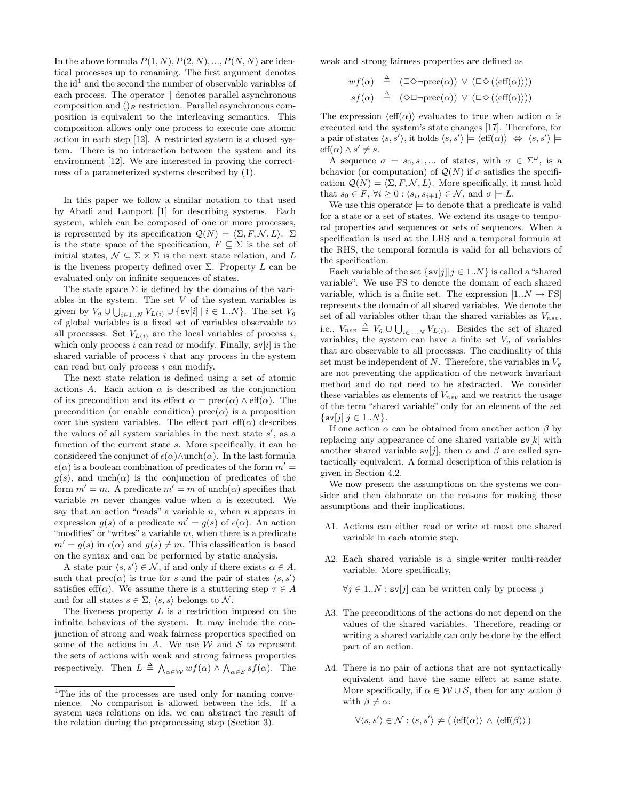In the above formula  $P(1, N), P(2, N), ..., P(N, N)$  are identical processes up to renaming. The first argument denotes the  $id<sup>1</sup>$  and the second the number of observable variables of each process. The operator  $\parallel$  denotes parallel asynchronous composition and  $()_R$  restriction. Parallel asynchronous composition is equivalent to the interleaving semantics. This composition allows only one process to execute one atomic action in each step [12]. A restricted system is a closed system. There is no interaction between the system and its environment [12]. We are interested in proving the correctness of a parameterized systems described by (1).

In this paper we follow a similar notation to that used by Abadi and Lamport [1] for describing systems. Each system, which can be composed of one or more processes, is represented by its specification  $Q(N) = \langle \Sigma, F, \mathcal{N}, L \rangle$ .  $\Sigma$ is the state space of the specification,  $F\, \subseteq\, \Sigma$  is the set of initial states,  $\mathcal{N} \subseteq \Sigma \times \Sigma$  is the next state relation, and L is the liveness property defined over  $\Sigma$ . Property L can be evaluated only on infinite sequences of states.

The state space  $\Sigma$  is defined by the domains of the variables in the system. The set  $V$  of the system variables is given by  $V_g \cup \bigcup_{i \in 1..N} V_{L(i)} \cup \{\texttt{sv}[i] \mid i \in 1..N\}$ . The set  $V_g$ of global variables is a fixed set of variables observable to all processes. Set  $V_{L(i)}$  are the local variables of process i, which only process i can read or modify. Finally,  $s\nu[i]$  is the shared variable of process  $i$  that any process in the system can read but only process  $i$  can modify.

The next state relation is defined using a set of atomic actions A. Each action  $\alpha$  is described as the conjunction of its precondition and its effect  $\alpha = \text{prec}(\alpha) \wedge \text{eff}(\alpha)$ . The precondition (or enable condition) prec $(\alpha)$  is a proposition over the system variables. The effect part  $\text{eff}(\alpha)$  describes the values of all system variables in the next state  $s'$ , as a function of the current state  $s$ . More specifically, it can be considered the conjunct of  $\epsilon(\alpha) \wedge \text{unch}(\alpha)$ . In the last formula  $\epsilon(\alpha)$  is a boolean combination of predicates of the form  $m' =$  $g(s)$ , and unch( $\alpha$ ) is the conjunction of predicates of the form  $m' = m$ . A predicate  $m' = m$  of unch $(\alpha)$  specifies that variable m never changes value when  $\alpha$  is executed. We say that an action "reads" a variable  $n$ , when  $n$  appears in expression  $g(s)$  of a predicate  $m' = g(s)$  of  $\epsilon(\alpha)$ . An action "modifies" or "writes" a variable  $m$ , when there is a predicate  $m' = g(s)$  in  $\epsilon(\alpha)$  and  $g(s) \neq m$ . This classification is based on the syntax and can be performed by static analysis.

A state pair  $\langle s, s' \rangle \in \mathcal{N}$ , if and only if there exists  $\alpha \in A$ , such that  $prec(\alpha)$  is true for s and the pair of states  $\langle s, s' \rangle$ satisfies eff( $\alpha$ ). We assume there is a stuttering step  $\tau \in A$ and for all states  $s \in \Sigma$ ,  $\langle s, s \rangle$  belongs to N.

The liveness property  $L$  is a restriction imposed on the infinite behaviors of the system. It may include the conjunction of strong and weak fairness properties specified on some of the actions in  $A$ . We use  $W$  and  $S$  to represent the sets of actions with weak and strong fairness properties respectively. Then  $L \triangleq \bigwedge_{\alpha \in \mathcal{W}} wf(\alpha) \wedge \bigwedge_{\alpha \in \mathcal{S}} sf(\alpha)$ . The

weak and strong fairness properties are defined as

$$
wf(\alpha) \stackrel{\Delta}{=} (\Box \Diamond \neg \text{prec}(\alpha)) \lor (\Box \Diamond (\langle \text{eff}(\alpha) \rangle))
$$
  

$$
sf(\alpha) \stackrel{\Delta}{=} (\Diamond \Box \neg \text{prec}(\alpha)) \lor (\Box \Diamond (\langle \text{eff}(\alpha) \rangle))
$$

The expression  $\langle \text{eff}(\alpha) \rangle$  evaluates to true when action  $\alpha$  is executed and the system's state changes [17]. Therefore, for a pair of states  $\langle s, s' \rangle$ , it holds  $\langle s, s' \rangle \models \langle \text{eff}(\alpha) \rangle \Leftrightarrow \langle s, s' \rangle \models$  $\text{eff}(\alpha) \wedge s' \neq s.$ 

A sequence  $\sigma = s_0, s_1, \dots$  of states, with  $\sigma \in \Sigma^\omega$ , is a behavior (or computation) of  $\mathcal{Q}(N)$  if  $\sigma$  satisfies the specification  $Q(N) = \langle \Sigma, F, \mathcal{N}, L \rangle$ . More specifically, it must hold that  $s_0 \in F$ ,  $\forall i \geq 0$  :  $\langle s_i, s_{i+1} \rangle \in \mathcal{N}$ , and  $\sigma \models L$ .

We use this operator  $\models$  to denote that a predicate is valid for a state or a set of states. We extend its usage to temporal properties and sequences or sets of sequences. When a specification is used at the LHS and a temporal formula at the RHS, the temporal formula is valid for all behaviors of the specification.

Each variable of the set  $\{sv[j] | j \in 1..N\}$  is called a "shared" variable". We use FS to denote the domain of each shared variable, which is a finite set. The expression  $[1..N \rightarrow FS]$ represents the domain of all shared variables. We denote the set of all variables other than the shared variables as  $V_{nsv}$ , i.e.,  $V_{nsv} \triangleq V_g \cup \bigcup_{i \in 1..N} V_{L(i)}$ . Besides the set of shared variables, the system can have a finite set  $V_g$  of variables that are observable to all processes. The cardinality of this set must be independent of N. Therefore, the variables in  $V_q$ are not preventing the application of the network invariant method and do not need to be abstracted. We consider these variables as elements of  $V_{nsv}$  and we restrict the usage of the term "shared variable" only for an element of the set  $\{sv[j]|j \in 1..N\}.$ 

If one action  $\alpha$  can be obtained from another action  $\beta$  by replacing any appearance of one shared variable  $\mathbf{s}v[k]$  with another shared variable  $s\nu[j]$ , then  $\alpha$  and  $\beta$  are called syntactically equivalent. A formal description of this relation is given in Section 4.2.

We now present the assumptions on the systems we consider and then elaborate on the reasons for making these assumptions and their implications.

- Λ1. Actions can either read or write at most one shared variable in each atomic step.
- Λ2. Each shared variable is a single-writer multi-reader variable. More specifically,

 $\forall j \in 1..N : \mathbf{sv}[j]$  can be written only by process j

- Λ3. The preconditions of the actions do not depend on the values of the shared variables. Therefore, reading or writing a shared variable can only be done by the effect part of an action.
- Λ4. There is no pair of actions that are not syntactically equivalent and have the same effect at same state. More specifically, if  $\alpha \in \mathcal{W} \cup \mathcal{S}$ , then for any action  $\beta$ with  $\beta \neq \alpha$ :

 $\forall \langle s, s' \rangle \in \mathcal{N} : \langle s, s' \rangle \not\models (\langle \text{eff}(\alpha) \rangle \land \langle \text{eff}(\beta) \rangle)$ 

<sup>&</sup>lt;sup>1</sup>The ids of the processes are used only for naming convenience. No comparison is allowed between the ids. If a system uses relations on ids, we can abstract the result of the relation during the preprocessing step (Section 3).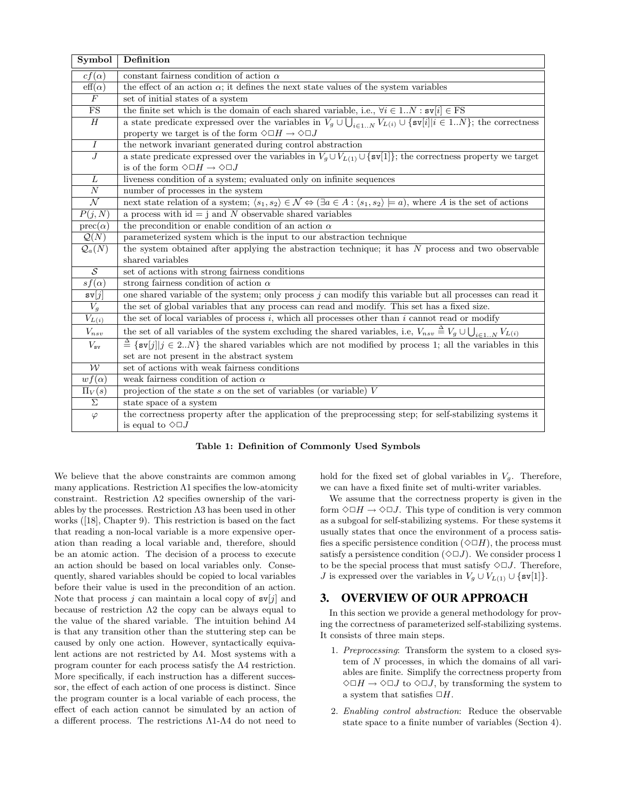| Symbol                   | Definition                                                                                                                                                                   |  |
|--------------------------|------------------------------------------------------------------------------------------------------------------------------------------------------------------------------|--|
| $cf(\alpha)$             | constant fairness condition of action $\alpha$                                                                                                                               |  |
| $\mathrm{eff}(\alpha)$   | the effect of an action $\alpha$ ; it defines the next state values of the system variables                                                                                  |  |
| $\overline{F}$           | set of initial states of a system                                                                                                                                            |  |
| $\overline{\text{FS}}$   | the finite set which is the domain of each shared variable, i.e., $\forall i \in 1N : s\mathbf{v}[i] \in \text{FS}$                                                          |  |
| $\boldsymbol{H}$         | a state predicate expressed over the variables in $V_g \cup \bigcup_{i \in 1N} V_{L(i)} \cup \{\text{sv}[i] i \in 1N\}$ ; the correctness                                    |  |
|                          | property we target is of the form $\Diamond\Box H\to\Diamond\Box J$                                                                                                          |  |
| $\overline{I}$           | the network invariant generated during control abstraction                                                                                                                   |  |
| $\overline{J}$           | a state predicate expressed over the variables in $V_g \cup V_{L(1)} \cup \{sv[1]\}$ ; the correctness property we target                                                    |  |
|                          | is of the form $\Diamond \Box H \to \Diamond \Box J$                                                                                                                         |  |
| $\overline{L}$           | liveness condition of a system; evaluated only on infinite sequences                                                                                                         |  |
| $\overline{N}$           | number of processes in the system                                                                                                                                            |  |
| $\overline{\mathcal{N}}$ | next state relation of a system; $\langle s_1, s_2 \rangle \in \mathcal{N} \Leftrightarrow (\exists a \in A : \langle s_1, s_2 \rangle = a)$ , where A is the set of actions |  |
| P(j,N)                   | a process with $id = j$ and N observable shared variables                                                                                                                    |  |
| $prec(\alpha)$           | the precondition or enable condition of an action $\alpha$                                                                                                                   |  |
| $\mathcal{Q}(N)$         | parameterized system which is the input to our abstraction technique                                                                                                         |  |
| $\mathcal{Q}_a(N)$       | the system obtained after applying the abstraction technique; it has N process and two observable                                                                            |  |
|                          | shared variables                                                                                                                                                             |  |
| $\overline{\mathcal{S}}$ | set of actions with strong fairness conditions                                                                                                                               |  |
| $sf(\alpha)$             | strong fairness condition of action $\alpha$                                                                                                                                 |  |
| sv[j]                    | one shared variable of the system; only process $j$ can modify this variable but all processes can read it                                                                   |  |
| $V_g$                    | the set of global variables that any process can read and modify. This set has a fixed size.                                                                                 |  |
| $V_{L(i)}$               | the set of local variables of process $i$ , which all processes other than $i$ cannot read or modify                                                                         |  |
| $V_{nsv}$                | the set of all variables of the system excluding the shared variables, i.e, $V_{nsv} \triangleq V_g \cup \bigcup_{i \in 1N} V_{L(i)}$                                        |  |
| $V_{\mathtt{sv}}$        | $\triangleq$ {sv[j][j $\in$ 2N} the shared variables which are not modified by process 1; all the variables in this                                                          |  |
|                          | set are not present in the abstract system                                                                                                                                   |  |
| $\overline{\mathcal{W}}$ | set of actions with weak fairness conditions                                                                                                                                 |  |
| $wf(\alpha)$             | weak fairness condition of action $\alpha$                                                                                                                                   |  |
| $\Pi_V(s)$               | projection of the state $s$ on the set of variables (or variable) $V$                                                                                                        |  |
| $\overline{\Sigma}$      | state space of a system                                                                                                                                                      |  |
| $\varphi$                | the correctness property after the application of the preprocessing step; for self-stabilizing systems it                                                                    |  |
|                          | is equal to $\Diamond \Box J$                                                                                                                                                |  |

Table 1: Definition of Commonly Used Symbols

We believe that the above constraints are common among many applications. Restriction  $\Lambda$ 1 specifies the low-atomicity constraint. Restriction Λ2 specifies ownership of the variables by the processes. Restriction Λ3 has been used in other works ([18], Chapter 9). This restriction is based on the fact that reading a non-local variable is a more expensive operation than reading a local variable and, therefore, should be an atomic action. The decision of a process to execute an action should be based on local variables only. Consequently, shared variables should be copied to local variables before their value is used in the precondition of an action. Note that process j can maintain a local copy of  $sv[j]$  and because of restriction  $\Lambda 2$  the copy can be always equal to the value of the shared variable. The intuition behind Λ4 is that any transition other than the stuttering step can be caused by only one action. However, syntactically equivalent actions are not restricted by Λ4. Most systems with a program counter for each process satisfy the Λ4 restriction. More specifically, if each instruction has a different successor, the effect of each action of one process is distinct. Since the program counter is a local variable of each process, the effect of each action cannot be simulated by an action of a different process. The restrictions Λ1-Λ4 do not need to

hold for the fixed set of global variables in  $V_q$ . Therefore, we can have a fixed finite set of multi-writer variables.

We assume that the correctness property is given in the form  $\Diamond \Box H \to \Diamond \Box J$ . This type of condition is very common as a subgoal for self-stabilizing systems. For these systems it usually states that once the environment of a process satisfies a specific persistence condition  $(\Diamond \Box H)$ , the process must satisfy a persistence condition  $(\Diamond \Box J)$ . We consider process 1 to be the special process that must satisfy  $\Diamond \Box J$ . Therefore, *J* is expressed over the variables in  $V_g \cup V_{L(1)} \cup \{ \text{sv}[1] \}.$ 

## **3. OVERVIEW OF OUR APPROACH**

In this section we provide a general methodology for proving the correctness of parameterized self-stabilizing systems. It consists of three main steps.

- 1. *Preprocessing*: Transform the system to a closed system of N processes, in which the domains of all variables are finite. Simplify the correctness property from  $\Diamond \Box H \rightarrow \Diamond \Box J$  to  $\Diamond \Box J$ , by transforming the system to a system that satisfies  $\Box H$ .
- 2. *Enabling control abstraction*: Reduce the observable state space to a finite number of variables (Section 4).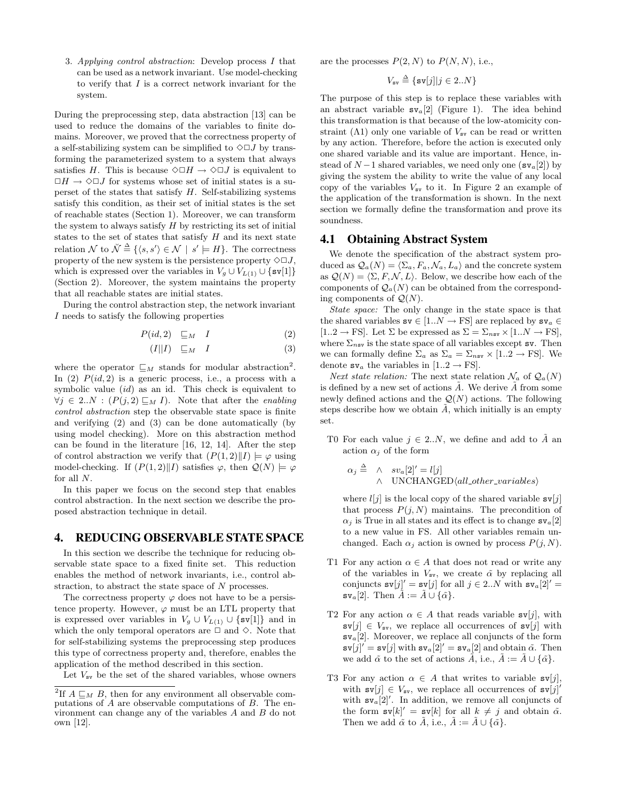3. *Applying control abstraction*: Develop process I that can be used as a network invariant. Use model-checking to verify that  $I$  is a correct network invariant for the system.

During the preprocessing step, data abstraction [13] can be used to reduce the domains of the variables to finite domains. Moreover, we proved that the correctness property of a self-stabilizing system can be simplified to  $\Diamond \Box J$  by transforming the parameterized system to a system that always satisfies H. This is because  $\Diamond \Box H \to \Diamond \Box J$  is equivalent to  $\Box H \rightarrow \Diamond \Box J$  for systems whose set of initial states is a superset of the states that satisfy  $H$ . Self-stabilizing systems satisfy this condition, as their set of initial states is the set of reachable states (Section 1). Moreover, we can transform the system to always satisfy  $H$  by restricting its set of initial states to the set of states that satisfy  $H$  and its next state relation N to  $\breve{\mathcal{N}} \stackrel{\Delta}{=} \{ \langle s, s' \rangle \in \mathcal{N} \mid s' \models H \}.$  The correctness property of the new system is the persistence property  $\Diamond \Box J$ , which is expressed over the variables in  $V_g \cup V_{L(1)} \cup \{sv[1]\}$ (Section 2). Moreover, the system maintains the property that all reachable states are initial states.

During the control abstraction step, the network invariant I needs to satisfy the following properties

$$
P(id,2) \quad \sqsubseteq_M \quad I \tag{2}
$$

$$
(I||I) \quad \sqsubseteq_M \quad I \tag{3}
$$

where the operator  $\sqsubseteq_M$  stands for modular abstraction<sup>2</sup>. In  $(2)$   $P(id, 2)$  is a generic process, i.e., a process with a symbolic value  $(id)$  as an id. This check is equivalent to  $\forall j \in 2..N : (P(j, 2) \sqsubseteq_M I)$ . Note that after the *enabling control abstraction* step the observable state space is finite and verifying (2) and (3) can be done automatically (by using model checking). More on this abstraction method can be found in the literature [16, 12, 14]. After the step of control abstraction we verify that  $(P(1, 2) \| I) \models \varphi$  using model-checking. If  $(P(1, 2) \| I)$  satisfies  $\varphi$ , then  $\mathcal{Q}(N) \models \varphi$ for all N.

In this paper we focus on the second step that enables control abstraction. In the next section we describe the proposed abstraction technique in detail.

#### **4. REDUCING OBSERVABLE STATE SPACE**

In this section we describe the technique for reducing observable state space to a fixed finite set. This reduction enables the method of network invariants, i.e., control abstraction, to abstract the state space of N processes.

The correctness property  $\varphi$  does not have to be a persistence property. However,  $\varphi$  must be an LTL property that is expressed over variables in  $V_g \cup V_{L(1)} \cup \{sv[1]\}$  and in which the only temporal operators are  $\Box$  and  $\diamond$ . Note that for self-stabilizing systems the preprocessing step produces this type of correctness property and, therefore, enables the application of the method described in this section.

Let  $V_{\rm sv}$  be the set of the shared variables, whose owners

are the processes  $P(2, N)$  to  $P(N, N)$ , i.e.,

$$
V_{\text{sv}}\stackrel{\Delta}{=}\{\text{sv}[j]|\textit{j}\in2..N\}
$$

The purpose of this step is to replace these variables with an abstract variable  $sv_a[2]$  (Figure 1). The idea behind this transformation is that because of the low-atomicity constraint ( $\Lambda$ 1) only one variable of  $V_{\rm sv}$  can be read or written by any action. Therefore, before the action is executed only one shared variable and its value are important. Hence, instead of  $N-1$  shared variables, we need only one  $(\text{sv}_a[2])$  by giving the system the ability to write the value of any local copy of the variables  $V_{\rm sv}$  to it. In Figure 2 an example of the application of the transformation is shown. In the next section we formally define the transformation and prove its soundness.

#### **4.1 Obtaining Abstract System**

We denote the specification of the abstract system produced as  $\mathcal{Q}_a(N) = \langle \Sigma_a, F_a, \mathcal{N}_a, L_a \rangle$  and the concrete system as  $\mathcal{Q}(N) = \langle \Sigma, F, \mathcal{N}, L \rangle$ . Below, we describe how each of the components of  $\mathcal{Q}_a(N)$  can be obtained from the corresponding components of  $Q(N)$ .

*State space:* The only change in the state space is that the shared variables  $s\mathbf{v} \in [1..N \rightarrow FS]$  are replaced by  $s\mathbf{v}_a \in$  $[1..2 \rightarrow FS]$ . Let  $\Sigma$  be expressed as  $\Sigma = \Sigma_{nsv} \times [1..N \rightarrow FS]$ , where  $\Sigma_{nsv}$  is the state space of all variables except sv. Then we can formally define  $\Sigma_a$  as  $\Sigma_a = \Sigma_{nsv} \times [1..2 \rightarrow \text{FS}]$ . We denote  $s\nu_a$  the variables in [1..2  $\rightarrow$  FS].

*Next state relation:* The next state relation  $\mathcal{N}_a$  of  $\mathcal{Q}_a(N)$ is defined by a new set of actions  $\tilde{A}$ . We derive  $\tilde{A}$  from some newly defined actions and the  $\mathcal{Q}(N)$  actions. The following steps describe how we obtain  $\ddot{A}$ , which initially is an empty set.

T0 For each value  $j \in 2..N$ , we define and add to  $\tilde{A}$  an action  $\alpha_i$  of the form

$$
\alpha_j \triangleq \begin{array}{cc} \wedge & sv_a[2]' = l[j] \\ \wedge & \text{UNCHANGED}\langle all\_other\_variables \rangle \end{array}
$$

where  $l[j]$  is the local copy of the shared variable  $sv[j]$ that process  $P(j, N)$  maintains. The precondition of  $\alpha_i$  is True in all states and its effect is to change  $s{v_a}[2]$ to a new value in FS. All other variables remain unchanged. Each  $\alpha_j$  action is owned by process  $P(j, N)$ .

- T1 For any action  $\alpha \in A$  that does not read or write any of the variables in  $V_{\rm sv}$ , we create  $\tilde{\alpha}$  by replacing all conjuncts  $\mathbf{sv}[j]' = \mathbf{sv}[j]$  for all  $j \in 2..N$  with  $\mathbf{sv}_a[2]' =$  $s\mathbf{v}_a[2]$ . Then  $\tilde{A} := \tilde{A} \cup \{\tilde{\alpha}\}.$
- T2 For any action  $\alpha \in A$  that reads variable  $sv[j]$ , with  $s\nu[j] \in V_{sv}$ , we replace all occurrences of  $s\nu[j]$  with  $s{v}_a[2]$ . Moreover, we replace all conjuncts of the form  $\mathbf{sv}[j]' = \mathbf{sv}[j]$  with  $\mathbf{sv}_a[2]' = \mathbf{sv}_a[2]$  and obtain  $\tilde{\alpha}$ . Then we add  $\tilde{\alpha}$  to the set of actions *A*, i.e.,  $A := A \cup {\tilde{\alpha}}$ .
- T3 For any action  $\alpha \in A$  that writes to variable  $sv[j],$ with  $\mathbf{sv}[j] \in V_{\text{sv}}$ , we replace all occurrences of  $\mathbf{sv}[j]'$ with  $sv_a[2]'$ . In addition, we remove all conjuncts of the form  $\mathbf{sv}[k]' = \mathbf{sv}[k]$  for all  $k \neq j$  and obtain  $\tilde{\alpha}$ . Then we add  $\tilde{\alpha}$  to  $\tilde{A}$ , i.e.,  $\tilde{A} := \tilde{A} \cup \{\tilde{\alpha}\}.$

<sup>&</sup>lt;sup>2</sup>If  $A \sqsubseteq_M B$ , then for any environment all observable computations of A are observable computations of B. The environment can change any of the variables A and B do not own [12].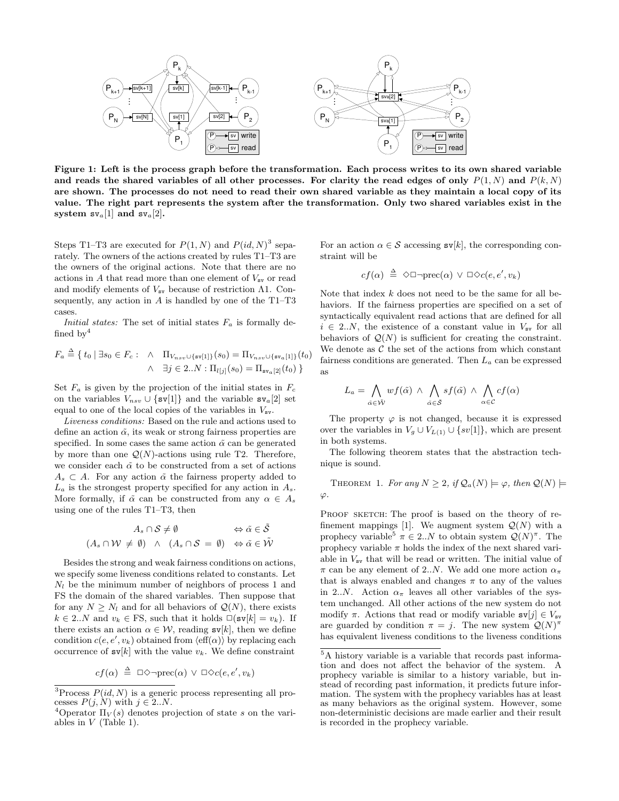

Figure 1: Left is the process graph before the transformation. Each process writes to its own shared variable and reads the shared variables of all other processes. For clarity the read edges of only  $P(1, N)$  and  $P(k, N)$ are shown. The processes do not need to read their own shared variable as they maintain a local copy of its value. The right part represents the system after the transformation. Only two shared variables exist in the system  $sv_a[1]$  and  $sv_a[2]$ .

Steps T1–T3 are executed for  $P(1, N)$  and  $P(id, N)^3$  separately. The owners of the actions created by rules T1–T3 are the owners of the original actions. Note that there are no actions in  $A$  that read more than one element of  $V_{\text{sv}}$  or read and modify elements of  $V_{sv}$  because of restriction  $\Lambda1$ . Consequently, any action in  $A$  is handled by one of the T1–T3 cases.

*Initial states:* The set of initial states  $F_a$  is formally defined by  $4$ 

$$
F_a \stackrel{\Delta}{=} \{ t_0 \mid \exists s_0 \in F_c : \land \Pi_{V_{nsv} \cup \{sv[1]\}}(s_0) = \Pi_{V_{nsv} \cup \{sv_a[1]\}}(t_0) \land \exists j \in 2..N : \Pi_{l[j]}(s_0) = \Pi_{sv_a[2]}(t_0) \}
$$

Set  $F_a$  is given by the projection of the initial states in  $F_c$ on the variables  $V_{nsv} \cup \{sv[1]\}$  and the variable  $sv_a[2]$  set equal to one of the local copies of the variables in  $V_{\rm sv}$ .

*Liveness conditions:* Based on the rule and actions used to define an action  $\tilde{\alpha}$ , its weak or strong fairness properties are specified. In some cases the same action  $\tilde{\alpha}$  can be generated by more than one  $\mathcal{Q}(N)$ -actions using rule T2. Therefore, we consider each  $\tilde{\alpha}$  to be constructed from a set of actions  $A_s \subset A$ . For any action  $\tilde{\alpha}$  the fairness property added to  $L_a$  is the strongest property specified for any action in  $A_s$ . More formally, if  $\tilde{\alpha}$  can be constructed from any  $\alpha \in A_s$ using one of the rules T1–T3, then

$$
A_s \cap \mathcal{S} \neq \emptyset \qquad \Leftrightarrow \tilde{\alpha} \in \tilde{\mathcal{S}}
$$
  

$$
(A_s \cap \mathcal{W} \neq \emptyset) \land (A_s \cap \mathcal{S} = \emptyset) \Leftrightarrow \tilde{\alpha} \in \tilde{\mathcal{W}}
$$

Besides the strong and weak fairness conditions on actions, we specify some liveness conditions related to constants. Let  $N_l$  be the minimum number of neighbors of process 1 and FS the domain of the shared variables. Then suppose that for any  $N \geq N_l$  and for all behaviors of  $\mathcal{Q}(N)$ , there exists  $k \in 2..N$  and  $v_k \in \text{FS}$ , such that it holds  $\square(\text{sv}[k] = v_k)$ . If there exists an action  $\alpha \in \mathcal{W}$ , reading  $s\nu[k]$ , then we define condition  $c(e, e', v_k)$  obtained from  $\langle \text{eff}(\alpha) \rangle$  by replacing each occurrence of  $\mathbf{s}v[k]$  with the value  $v_k$ . We define constraint

$$
cf(\alpha) \triangleq \Box \Diamond \neg \mathrm{prec}(\alpha) \lor \Box \Diamond c(e, e', v_k)
$$

For an action  $\alpha \in \mathcal{S}$  accessing  $\mathbf{s}v[k]$ , the corresponding constraint will be

$$
cf(\alpha) \triangleq \Diamond \Box \neg \mathrm{prec}(\alpha) \lor \Box \Diamond c(e, e', v_k)
$$

Note that index  $k$  does not need to be the same for all behaviors. If the fairness properties are specified on a set of syntactically equivalent read actions that are defined for all  $i \in 2..N$ , the existence of a constant value in  $V_{\rm sv}$  for all behaviors of  $\mathcal{Q}(N)$  is sufficient for creating the constraint. We denote as  $C$  the set of the actions from which constant fairness conditions are generated. Then  $L_a$  can be expressed as

$$
L_a = \bigwedge_{\tilde{\alpha} \in \tilde{\mathcal{W}}} wf(\tilde{\alpha}) \ \wedge \ \bigwedge_{\tilde{\alpha} \in \tilde{\mathcal{S}}} sf(\tilde{\alpha}) \ \wedge \ \bigwedge_{\alpha \in \mathcal{C}} cf(\alpha)
$$

The property  $\varphi$  is not changed, because it is expressed over the variables in  $V_g \cup V_{L(1)} \cup \{sv[1]\}$ , which are present in both systems.

The following theorem states that the abstraction technique is sound.

THEOREM 1. For any  $N \geq 2$ , if  $\mathcal{Q}_a(N) \models \varphi$ , then  $\mathcal{Q}(N) \models$ ϕ*.*

PROOF SKETCH: The proof is based on the theory of refinement mappings [1]. We augment system  $\mathcal{Q}(N)$  with a prophecy variable<sup>5</sup>  $\pi \in 2..N$  to obtain system  $\mathcal{Q}(N)^{\pi}$ . The prophecy variable  $\pi$  holds the index of the next shared variable in  $V_{\rm sv}$  that will be read or written. The initial value of  $\pi$  can be any element of 2..N. We add one more action  $\alpha_{\pi}$ that is always enabled and changes  $\pi$  to any of the values in 2..N. Action  $\alpha_{\pi}$  leaves all other variables of the system unchanged. All other actions of the new system do not modify  $\pi$ . Actions that read or modify variable  $\text{sv}[j] \in V_{\text{sv}}$ are guarded by condition  $\pi = j$ . The new system  $\mathcal{Q}(N)^{\pi}$ has equivalent liveness conditions to the liveness conditions

<sup>&</sup>lt;sup>3</sup>Process  $P(id, N)$  is a generic process representing all processes  $P(j, N)$  with  $j \in 2..N$ .

<sup>&</sup>lt;sup>4</sup>Operator  $\Pi_V(s)$  denotes projection of state s on the variables in  $V$  (Table 1).

<sup>5</sup>A history variable is a variable that records past information and does not affect the behavior of the system. A prophecy variable is similar to a history variable, but instead of recording past information, it predicts future information. The system with the prophecy variables has at least as many behaviors as the original system. However, some non-deterministic decisions are made earlier and their result is recorded in the prophecy variable.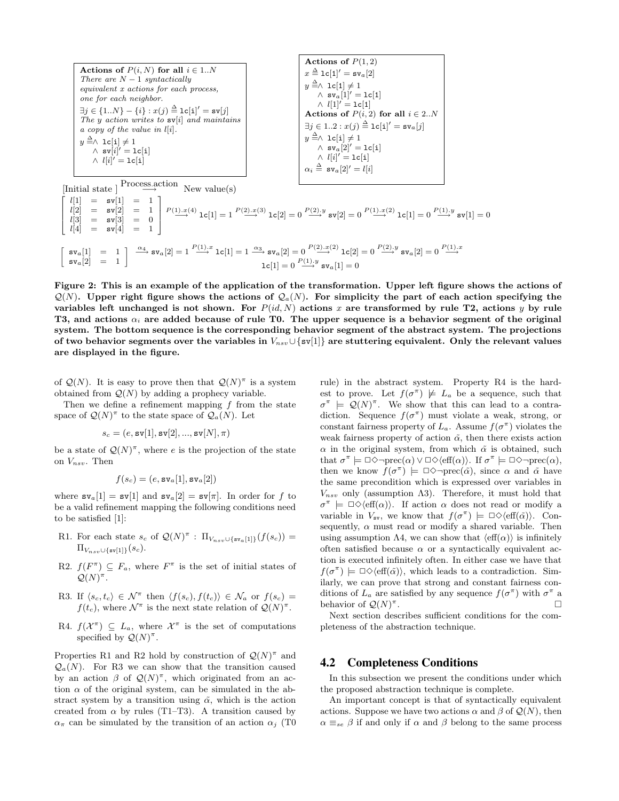| Actions of $P(i, N)$ for all $i \in 1N$<br>There are $N-1$ syntactically<br>equivalent x actions for each process,<br>one for each neighbor.<br>$\exists j \in \{1N\} - \{i\} : x(j) \stackrel{\Delta}{=} \mathbf{lc}[\mathbf{i}]' = \mathbf{sv}[j]$<br>The y action writes to $sv[i]$ and maintains<br>a copy of the value in $l[i]$ .<br>$y \triangleq \wedge 1$ c $[i] \neq 1$<br>$\wedge$ sv $[i]' = \text{lc}[i]$<br>$\wedge$ $l[i]' =$ 1c[i] | Actions of $P(1,2)$<br>$x \triangleq 1c[1]' = sv_a[2]$<br>$y \triangleq \wedge 1$ c $[1] \neq 1$<br>$\wedge$ sv <sub>a</sub> [1]' = 1c[1]<br>$\wedge$ $l[1]' =$ 1c[1]<br>Actions of $P(i, 2)$ for all $i \in 2N$<br>$\exists j \in 12 : x(j) \stackrel{\Delta}{=} \mathbf{1} \mathbf{c}[\mathbf{i}]' = \mathbf{s} \mathbf{v}_a[j]$<br>$y \triangleq \wedge 1$ c $[i] \neq 1$<br>$\wedge$ sv <sub>a</sub> [2]' = 1c[i]<br>$\wedge$ $l[i]' = \text{lc}[i]$<br>$\alpha_i \stackrel{\Delta}{=}$ sv <sub>a</sub> [2]' = l[i] |  |  |
|----------------------------------------------------------------------------------------------------------------------------------------------------------------------------------------------------------------------------------------------------------------------------------------------------------------------------------------------------------------------------------------------------------------------------------------------------|-------------------------------------------------------------------------------------------------------------------------------------------------------------------------------------------------------------------------------------------------------------------------------------------------------------------------------------------------------------------------------------------------------------------------------------------------------------------------------------------------------------------------|--|--|
| Process.action<br>[Initial state]<br>New value $(s)$                                                                                                                                                                                                                                                                                                                                                                                               |                                                                                                                                                                                                                                                                                                                                                                                                                                                                                                                         |  |  |
| $l[1] = sv[1] = 1$<br>$\begin{array}{lll} l[2] &=& \mathbf{sv}[2] &=& 1 \\ l[3] &=& \mathbf{sv}[3] &=& 0 \end{array} \Bigg  \begin{array}{lll} P(1).x(4) & \mathbf{lc}[1] =1 \end{array} \Bigg  \begin{array}{lll} P(2).x(3) & \mathbf{lc}[2] =0 \end{array} \begin{array}{lll} P(2).y & \mathbf{sv}[2] =0 \end{array} \begin{array}{lll} P(1).x(2) & \mathbf{lc}[1] =0 \end{array} \begin{array}{lll} P(1).y & \mathbf{sv}[1] =0 \end{array}$     |                                                                                                                                                                                                                                                                                                                                                                                                                                                                                                                         |  |  |

$$
\left[\begin{array}{c} \mathtt{sv}_a[1] \quad = \quad 1 \\ \mathtt{sv}_a[2] \quad = \quad 1 \end{array}\right] \quad \xrightarrow{\alpha_4} \mathtt{sv}_a[2] = 1 \xrightarrow{P(1),x} 1 \mathtt{c}[1] = 1 \xrightarrow{\alpha_3} \mathtt{sv}_a[2] = 0 \xrightarrow{P(2),x(2)} 1 \mathtt{c}[2] = 0 \xrightarrow{P(2),y} \mathtt{sv}_a[2] = 0 \xrightarrow{P(1),y} 1 \mathtt{cv}_a[2] = 0 \xrightarrow{P(1),y} 1 \mathtt{cv}_a[1] = 0
$$

Figure 2: This is an example of the application of the transformation. Upper left figure shows the actions of  $\mathcal{Q}(N)$ . Upper right figure shows the actions of  $\mathcal{Q}_a(N)$ . For simplicity the part of each action specifying the variables left unchanged is not shown. For  $P(id, N)$  actions x are transformed by rule T2, actions y by rule T3, and actions  $\alpha_i$  are added because of rule T0. The upper sequence is a behavior segment of the original system. The bottom sequence is the corresponding behavior segment of the abstract system. The projections of two behavior segments over the variables in  $V_{nsv} \cup \{sv[1]\}$  are stuttering equivalent. Only the relevant values are displayed in the figure.

of  $\mathcal{Q}(N)$ . It is easy to prove then that  $\mathcal{Q}(N)^{\pi}$  is a system obtained from  $Q(N)$  by adding a prophecy variable.

Then we define a refinement mapping  $f$  from the state space of  $\mathcal{Q}(N)^{\pi}$  to the state space of  $\mathcal{Q}_a(N)$ . Let

$$
s_c = (e, \mathtt{sv}[1], \mathtt{sv}[2], ..., \mathtt{sv}[N], \pi)
$$

 $\sqrt{ }$  $\overline{\phantom{a}}$ 

 $l[4] = sv[4] = 1$ 

be a state of  $\mathcal{Q}(N)^{\pi}$ , where e is the projection of the state on  $V_{nsv}$ . Then

$$
f(s_c) = (e, \mathtt{sv}_a[1], \mathtt{sv}_a[2])
$$

where  $s\mathbf{v}_a[1] = s\mathbf{v}[1]$  and  $s\mathbf{v}_a[2] = s\mathbf{v}[\pi]$ . In order for f to be a valid refinement mapping the following conditions need to be satisfied [1]:

- R1. For each state  $s_c$  of  $\mathcal{Q}(N)^{\pi}$ :  $\Pi_{V_{nsv}\cup\{sv_a[1]\}}(f(s_c))=$  $\Pi_{V_{new} \cup \{sv[1]\}}(s_c)$ .
- R2.  $f(F^{\pi}) \subseteq F_a$ , where  $F^{\pi}$  is the set of initial states of  $\mathcal{Q}(N)^{\pi}$ .
- R3. If  $\langle s_c, t_c \rangle \in \mathcal{N}^{\pi}$  then  $\langle f(s_c), f(t_c) \rangle \in \mathcal{N}_a$  or  $f(s_c)$  =  $f(t_c)$ , where  $\mathcal{N}^{\pi}$  is the next state relation of  $\mathcal{Q}(N)^{\pi}$ .
- R4.  $f(\mathcal{X}^{\pi}) \subseteq L_a$ , where  $\mathcal{X}^{\pi}$  is the set of computations specified by  $\mathcal{Q}(N)^{\pi}$ .

Properties R1 and R2 hold by construction of  $\mathcal{Q}(N)^{\pi}$  and  $\mathcal{Q}_a(N)$ . For R3 we can show that the transition caused by an action  $\beta$  of  $\mathcal{Q}(N)^{\pi}$ , which originated from an action  $\alpha$  of the original system, can be simulated in the abstract system by a transition using  $\tilde{\alpha}$ , which is the action created from  $\alpha$  by rules (T1–T3). A transition caused by  $\alpha_{\pi}$  can be simulated by the transition of an action  $\alpha_j$  (T0 rule) in the abstract system. Property R4 is the hardest to prove. Let  $f(\sigma^{\pi}) \not\models L_a$  be a sequence, such that  $\sigma^{\pi} \models \mathcal{Q}(N)^{\pi}$ . We show that this can lead to a contradiction. Sequence  $f(\sigma^{\pi})$  must violate a weak, strong, or constant fairness property of  $L_a$ . Assume  $f(\sigma^{\pi})$  violates the weak fairness property of action  $\tilde{\alpha}$ , then there exists action  $\alpha$  in the original system, from which  $\tilde{\alpha}$  is obtained, such that  $\sigma^{\pi} \models \Box \Diamond \neg \text{prec}(\alpha) \lor \Box \Diamond \langle \text{eff}(\alpha) \rangle$ . If  $\sigma^{\pi} \models \Box \Diamond \neg \text{prec}(\alpha)$ , then we know  $f(\sigma^{\pi}) \models \Box \Diamond \neg \text{prec}(\tilde{\alpha})$ , since  $\alpha$  and  $\tilde{\alpha}$  have the same precondition which is expressed over variables in  $V_{nsv}$  only (assumption  $\Lambda$ 3). Therefore, it must hold that  $\sigma^{\pi} \models \Box \Diamond \langle \text{eff}(\alpha) \rangle$ . If action  $\alpha$  does not read or modify a variable in  $V_{sv}$ , we know that  $f(\sigma^{\pi}) \models \Box \Diamond \langle \text{eff}(\tilde{\alpha}) \rangle$ . Consequently,  $\alpha$  must read or modify a shared variable. Then using assumption  $\Lambda$ 4, we can show that  $\langle \text{eff}(\alpha) \rangle$  is infinitely often satisfied because  $\alpha$  or a syntactically equivalent action is executed infinitely often. In either case we have that  $f(\sigma^{\pi}) \models \Box \Diamond \langle \text{eff}(\tilde{\alpha}) \rangle$ , which leads to a contradiction. Similarly, we can prove that strong and constant fairness conditions of  $L_a$  are satisfied by any sequence  $f(\sigma^{\pi})$  with  $\sigma^{\pi}$  a behavior of  $\mathcal{Q}(N)^{\pi}$ . В последните поставите на примерение и производите на селото на селото на селото на селото на селото на село<br>В селото на селото на селото на селото на селото на селото на селото на селото на селото на селото на селото н

Next section describes sufficient conditions for the completeness of the abstraction technique.

#### **4.2 Completeness Conditions**

In this subsection we present the conditions under which the proposed abstraction technique is complete.

An important concept is that of syntactically equivalent actions. Suppose we have two actions  $\alpha$  and  $\beta$  of  $\mathcal{Q}(N)$ , then  $\alpha \equiv_{se} \beta$  if and only if  $\alpha$  and  $\beta$  belong to the same process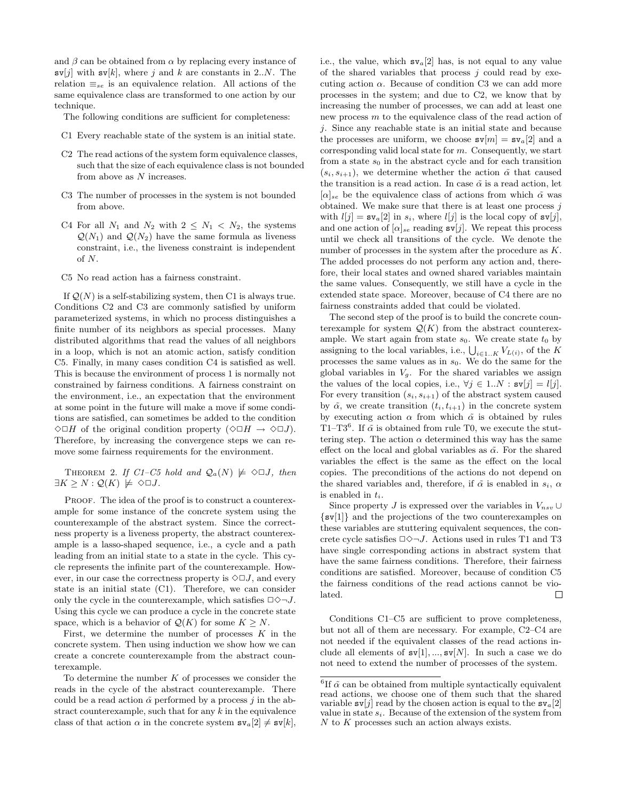and  $\beta$  can be obtained from  $\alpha$  by replacing every instance of  $\mathbf{s}v[j]$  with  $\mathbf{s}v[k]$ , where j and k are constants in 2..N. The relation  $\equiv_{se}$  is an equivalence relation. All actions of the same equivalence class are transformed to one action by our technique.

The following conditions are sufficient for completeness:

- C1 Every reachable state of the system is an initial state.
- C2 The read actions of the system form equivalence classes, such that the size of each equivalence class is not bounded from above as N increases.
- C3 The number of processes in the system is not bounded from above.
- C4 For all  $N_1$  and  $N_2$  with  $2 \leq N_1 \leq N_2$ , the systems  $\mathcal{Q}(N_1)$  and  $\mathcal{Q}(N_2)$  have the same formula as liveness constraint, i.e., the liveness constraint is independent of N.
- C5 No read action has a fairness constraint.

If  $\mathcal{Q}(N)$  is a self-stabilizing system, then C1 is always true. Conditions C2 and C3 are commonly satisfied by uniform parameterized systems, in which no process distinguishes a finite number of its neighbors as special processes. Many distributed algorithms that read the values of all neighbors in a loop, which is not an atomic action, satisfy condition C5. Finally, in many cases condition C4 is satisfied as well. This is because the environment of process 1 is normally not constrained by fairness conditions. A fairness constraint on the environment, i.e., an expectation that the environment at some point in the future will make a move if some conditions are satisfied, can sometimes be added to the condition  $\Diamond \Box H$  of the original condition property  $(\Diamond \Box H \rightarrow \Diamond \Box J)$ . Therefore, by increasing the convergence steps we can remove some fairness requirements for the environment.

THEOREM 2. If  $C1-C5$  hold and  $Q_a(N) \not\models \Diamond \Box J$ , then  $\exists K \geq N : \mathcal{Q}(K) \not\models \Diamond \Box J.$ 

PROOF. The idea of the proof is to construct a counterexample for some instance of the concrete system using the counterexample of the abstract system. Since the correctness property is a liveness property, the abstract counterexample is a lasso-shaped sequence, i.e., a cycle and a path leading from an initial state to a state in the cycle. This cycle represents the infinite part of the counterexample. However, in our case the correctness property is  $\Diamond \Box J$ , and every state is an initial state (C1). Therefore, we can consider only the cycle in the counterexample, which satisfies  $\Box \Diamond \neg J$ . Using this cycle we can produce a cycle in the concrete state space, which is a behavior of  $\mathcal{Q}(K)$  for some  $K \geq N$ .

First, we determine the number of processes  $K$  in the concrete system. Then using induction we show how we can create a concrete counterexample from the abstract counterexample.

To determine the number  $K$  of processes we consider the reads in the cycle of the abstract counterexample. There could be a read action  $\tilde{\alpha}$  performed by a process j in the abstract counterexample, such that for any  $k$  in the equivalence class of that action  $\alpha$  in the concrete system  $s\mathbf{v}_a[2] \neq s\mathbf{v}[k],$  i.e., the value, which  $s\nu_a[2]$  has, is not equal to any value of the shared variables that process  $j$  could read by executing action  $\alpha$ . Because of condition C3 we can add more processes in the system; and due to C2, we know that by increasing the number of processes, we can add at least one new process m to the equivalence class of the read action of j. Since any reachable state is an initial state and because the processes are uniform, we choose  $\mathbf{sv}[m] = \mathbf{sv}_a[2]$  and a corresponding valid local state for  $m$ . Consequently, we start from a state  $s_0$  in the abstract cycle and for each transition  $(s_i, s_{i+1})$ , we determine whether the action  $\tilde{\alpha}$  that caused the transition is a read action. In case  $\tilde{\alpha}$  is a read action, let  $[\alpha]_{se}$  be the equivalence class of actions from which  $\tilde{\alpha}$  was obtained. We make sure that there is at least one process  $j$ with  $l[j] = \mathbf{sv}_a[2]$  in  $s_i$ , where  $l[j]$  is the local copy of  $\mathbf{sv}[j]$ , and one action of  $[\alpha]_{se}$  reading  $\text{sv}[j]$ . We repeat this process until we check all transitions of the cycle. We denote the number of processes in the system after the procedure as K. The added processes do not perform any action and, therefore, their local states and owned shared variables maintain the same values. Consequently, we still have a cycle in the extended state space. Moreover, because of C4 there are no fairness constraints added that could be violated.

The second step of the proof is to build the concrete counterexample for system  $\mathcal{Q}(K)$  from the abstract counterexample. We start again from state  $s_0$ . We create state  $t_0$  by assigning to the local variables, i.e.,  $\bigcup_{i\in 1..K} V_{L(i)}$ , of the K processes the same values as in  $s_0$ . We do the same for the global variables in  $V_g$ . For the shared variables we assign the values of the local copies, i.e.,  $\forall j \in 1..N : \mathbf{sv}[j] = l[j]$ . For every transition  $(s_i, s_{i+1})$  of the abstract system caused by  $\tilde{\alpha}$ , we create transition  $(t_i, t_{i+1})$  in the concrete system by executing action  $\alpha$  from which  $\tilde{\alpha}$  is obtained by rules T1–T3<sup>6</sup>. If  $\tilde{\alpha}$  is obtained from rule T0, we execute the stuttering step. The action  $\alpha$  determined this way has the same effect on the local and global variables as  $\tilde{\alpha}$ . For the shared variables the effect is the same as the effect on the local copies. The preconditions of the actions do not depend on the shared variables and, therefore, if  $\tilde{\alpha}$  is enabled in  $s_i$ ,  $\alpha$ is enabled in  $t_i$ .

Since property J is expressed over the variables in  $V_{nsv} \cup$ {sv[1]} and the projections of the two counterexamples on these variables are stuttering equivalent sequences, the concrete cycle satisfies  $\Box \Diamond \neg J$ . Actions used in rules T1 and T3 have single corresponding actions in abstract system that have the same fairness conditions. Therefore, their fairness conditions are satisfied. Moreover, because of condition C5 the fairness conditions of the read actions cannot be violated. □

Conditions C1–C5 are sufficient to prove completeness, but not all of them are necessary. For example, C2–C4 are not needed if the equivalent classes of the read actions include all elements of  $sv[1], ..., sv[N]$ . In such a case we do not need to extend the number of processes of the system.

 ${}^{6}$ If  $\tilde{\alpha}$  can be obtained from multiple syntactically equivalent read actions, we choose one of them such that the shared variable  $s\nu[j]$  read by the chosen action is equal to the  $s\nu_a[2]$ value in state  $s_i$ . Because of the extension of the system from  $N$  to  $K$  processes such an action always exists.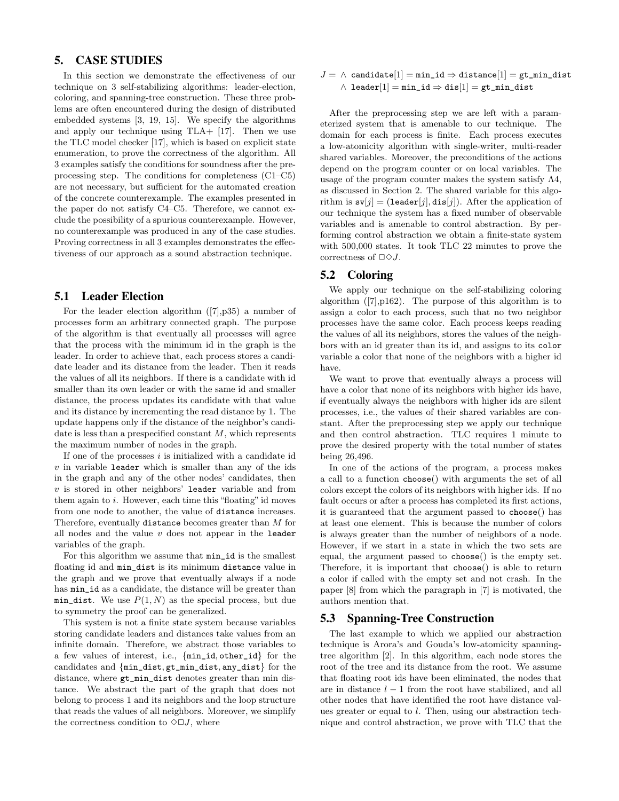## **5. CASE STUDIES**

In this section we demonstrate the effectiveness of our technique on 3 self-stabilizing algorithms: leader-election, coloring, and spanning-tree construction. These three problems are often encountered during the design of distributed embedded systems [3, 19, 15]. We specify the algorithms and apply our technique using TLA+ [17]. Then we use the TLC model checker [17], which is based on explicit state enumeration, to prove the correctness of the algorithm. All 3 examples satisfy the conditions for soundness after the preprocessing step. The conditions for completeness (C1–C5) are not necessary, but sufficient for the automated creation of the concrete counterexample. The examples presented in the paper do not satisfy C4–C5. Therefore, we cannot exclude the possibility of a spurious counterexample. However, no counterexample was produced in any of the case studies. Proving correctness in all 3 examples demonstrates the effectiveness of our approach as a sound abstraction technique.

#### **5.1 Leader Election**

For the leader election algorithm ([7],p35) a number of processes form an arbitrary connected graph. The purpose of the algorithm is that eventually all processes will agree that the process with the minimum id in the graph is the leader. In order to achieve that, each process stores a candidate leader and its distance from the leader. Then it reads the values of all its neighbors. If there is a candidate with id smaller than its own leader or with the same id and smaller distance, the process updates its candidate with that value and its distance by incrementing the read distance by 1. The update happens only if the distance of the neighbor's candidate is less than a prespecified constant  $M$ , which represents the maximum number of nodes in the graph.

If one of the processes  $i$  is initialized with a candidate id  $v$  in variable leader which is smaller than any of the ids in the graph and any of the other nodes' candidates, then  $v$  is stored in other neighbors' leader variable and from them again to  $i$ . However, each time this "floating" id moves from one node to another, the value of distance increases. Therefore, eventually distance becomes greater than M for all nodes and the value  $v$  does not appear in the leader variables of the graph.

For this algorithm we assume that min\_id is the smallest floating id and min\_dist is its minimum distance value in the graph and we prove that eventually always if a node has  $min_id$  as a candidate, the distance will be greater than min\_dist. We use  $P(1, N)$  as the special process, but due to symmetry the proof can be generalized.

This system is not a finite state system because variables storing candidate leaders and distances take values from an infinite domain. Therefore, we abstract those variables to a few values of interest, i.e., {min\_id, other\_id} for the candidates and {min\_dist, gt\_min\_dist, any\_dist} for the distance, where  $gt\_min\_dist$  denotes greater than min distance. We abstract the part of the graph that does not belong to process 1 and its neighbors and the loop structure that reads the values of all neighbors. Moreover, we simplify the correctness condition to  $\Diamond \Box J$ , where

$$
J = \wedge \texttt{ candidate}[1] = \texttt{min_id} \Rightarrow \texttt{distance}[1] = \texttt{gt\_min\_dist} \\ \wedge \texttt{ leader}[1] = \texttt{min\_id} \Rightarrow \texttt{dis}[1] = \texttt{gt\_min\_dist}
$$

After the preprocessing step we are left with a parameterized system that is amenable to our technique. The domain for each process is finite. Each process executes a low-atomicity algorithm with single-writer, multi-reader shared variables. Moreover, the preconditions of the actions depend on the program counter or on local variables. The usage of the program counter makes the system satisfy Λ4, as discussed in Section 2. The shared variable for this algorithm is  $s\nu[j] = (leader[j], dis[j])$ . After the application of our technique the system has a fixed number of observable variables and is amenable to control abstraction. By performing control abstraction we obtain a finite-state system with 500,000 states. It took TLC 22 minutes to prove the correctness of  $\Box \Diamond J$ .

## **5.2 Coloring**

We apply our technique on the self-stabilizing coloring algorithm  $([7], p162)$ . The purpose of this algorithm is to assign a color to each process, such that no two neighbor processes have the same color. Each process keeps reading the values of all its neighbors, stores the values of the neighbors with an id greater than its id, and assigns to its color variable a color that none of the neighbors with a higher id have.

We want to prove that eventually always a process will have a color that none of its neighbors with higher ids have, if eventually always the neighbors with higher ids are silent processes, i.e., the values of their shared variables are constant. After the preprocessing step we apply our technique and then control abstraction. TLC requires 1 minute to prove the desired property with the total number of states being 26,496.

In one of the actions of the program, a process makes a call to a function choose() with arguments the set of all colors except the colors of its neighbors with higher ids. If no fault occurs or after a process has completed its first actions, it is guaranteed that the argument passed to choose() has at least one element. This is because the number of colors is always greater than the number of neighbors of a node. However, if we start in a state in which the two sets are equal, the argument passed to choose() is the empty set. Therefore, it is important that choose() is able to return a color if called with the empty set and not crash. In the paper [8] from which the paragraph in [7] is motivated, the authors mention that.

#### **5.3 Spanning-Tree Construction**

The last example to which we applied our abstraction technique is Arora's and Gouda's low-atomicity spanningtree algorithm [2]. In this algorithm, each node stores the root of the tree and its distance from the root. We assume that floating root ids have been eliminated, the nodes that are in distance  $l - 1$  from the root have stabilized, and all other nodes that have identified the root have distance values greater or equal to l. Then, using our abstraction technique and control abstraction, we prove with TLC that the